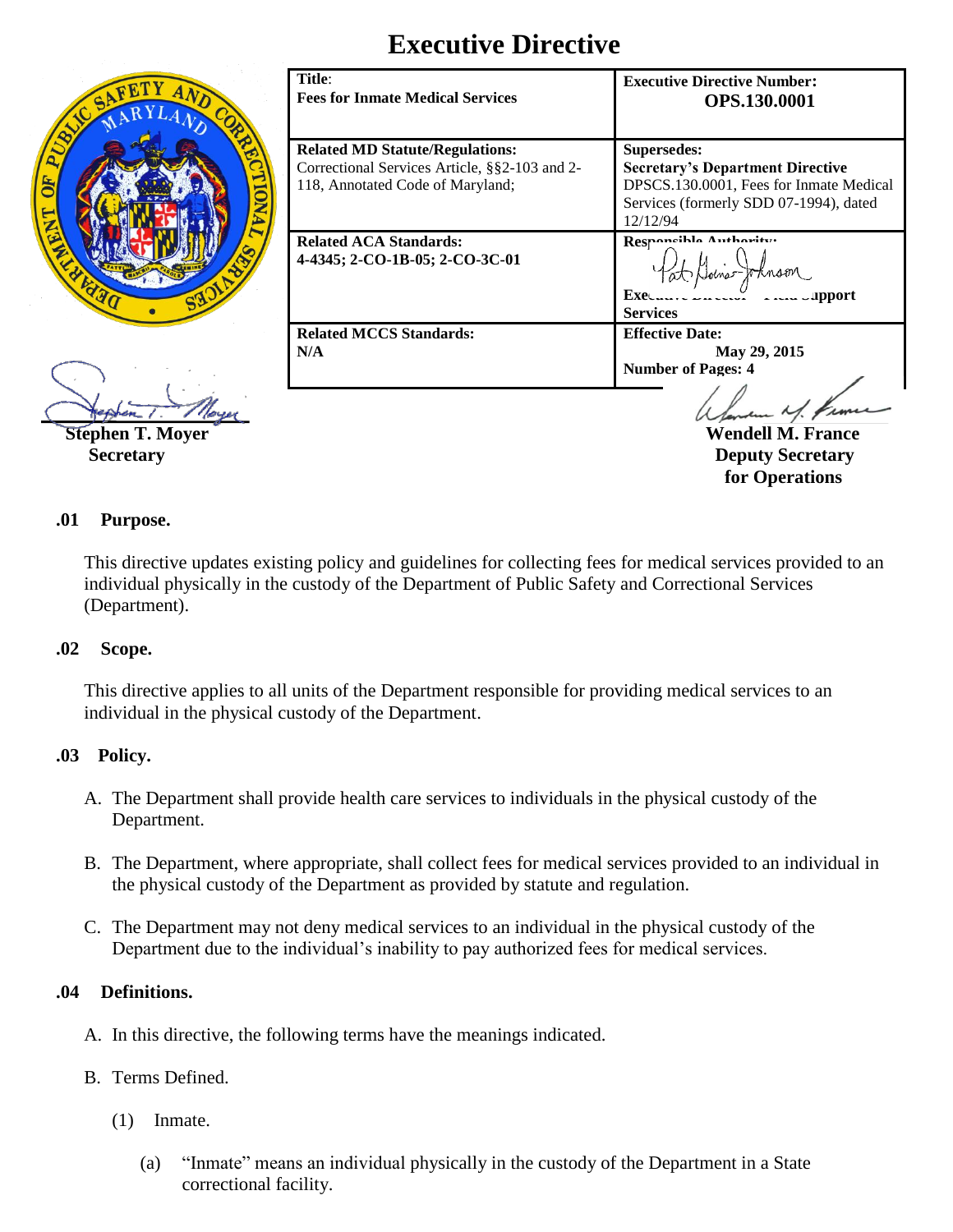# **Executive Directive**



| Title:<br><b>Fees for Inmate Medical Services</b>                                                                           | <b>Executive Directive Number:</b><br><b>OPS.130.0001</b>                                                                                               |
|-----------------------------------------------------------------------------------------------------------------------------|---------------------------------------------------------------------------------------------------------------------------------------------------------|
| <b>Related MD Statute/Regulations:</b><br>Correctional Services Article, §§2-103 and 2-<br>118, Annotated Code of Maryland; | Supersedes:<br><b>Secretary's Department Directive</b><br>DPSCS.130.0001, Fees for Inmate Medical<br>Services (formerly SDD 07-1994), dated<br>12/12/94 |
| <b>Related ACA Standards:</b><br>4-4345; 2-CO-1B-05; 2-CO-3C-01                                                             | Responsible Authority.<br>$Ex$ e $\ldots$<br><b>ERAME DEPARTMENT</b><br><b>Services</b>                                                                 |
| <b>Related MCCS Standards:</b><br>N/A                                                                                       | <b>Effective Date:</b><br>May 29, 2015<br><b>Number of Pages: 4</b>                                                                                     |
|                                                                                                                             | Wendell M.                                                                                                                                              |

 **Secretary Deputy Secretary Deputy Secretary for Operations**

## **.01 Purpose.**

This directive updates existing policy and guidelines for collecting fees for medical services provided to an individual physically in the custody of the Department of Public Safety and Correctional Services (Department).

## **.02 Scope.**

This directive applies to all units of the Department responsible for providing medical services to an individual in the physical custody of the Department.

## **.03 Policy.**

- A. The Department shall provide health care services to individuals in the physical custody of the Department.
- B. The Department, where appropriate, shall collect fees for medical services provided to an individual in the physical custody of the Department as provided by statute and regulation.
- C. The Department may not deny medical services to an individual in the physical custody of the Department due to the individual's inability to pay authorized fees for medical services.

## **.04 Definitions.**

- A. In this directive, the following terms have the meanings indicated.
- B. Terms Defined.
	- (1) Inmate.
		- (a) "Inmate" means an individual physically in the custody of the Department in a State correctional facility.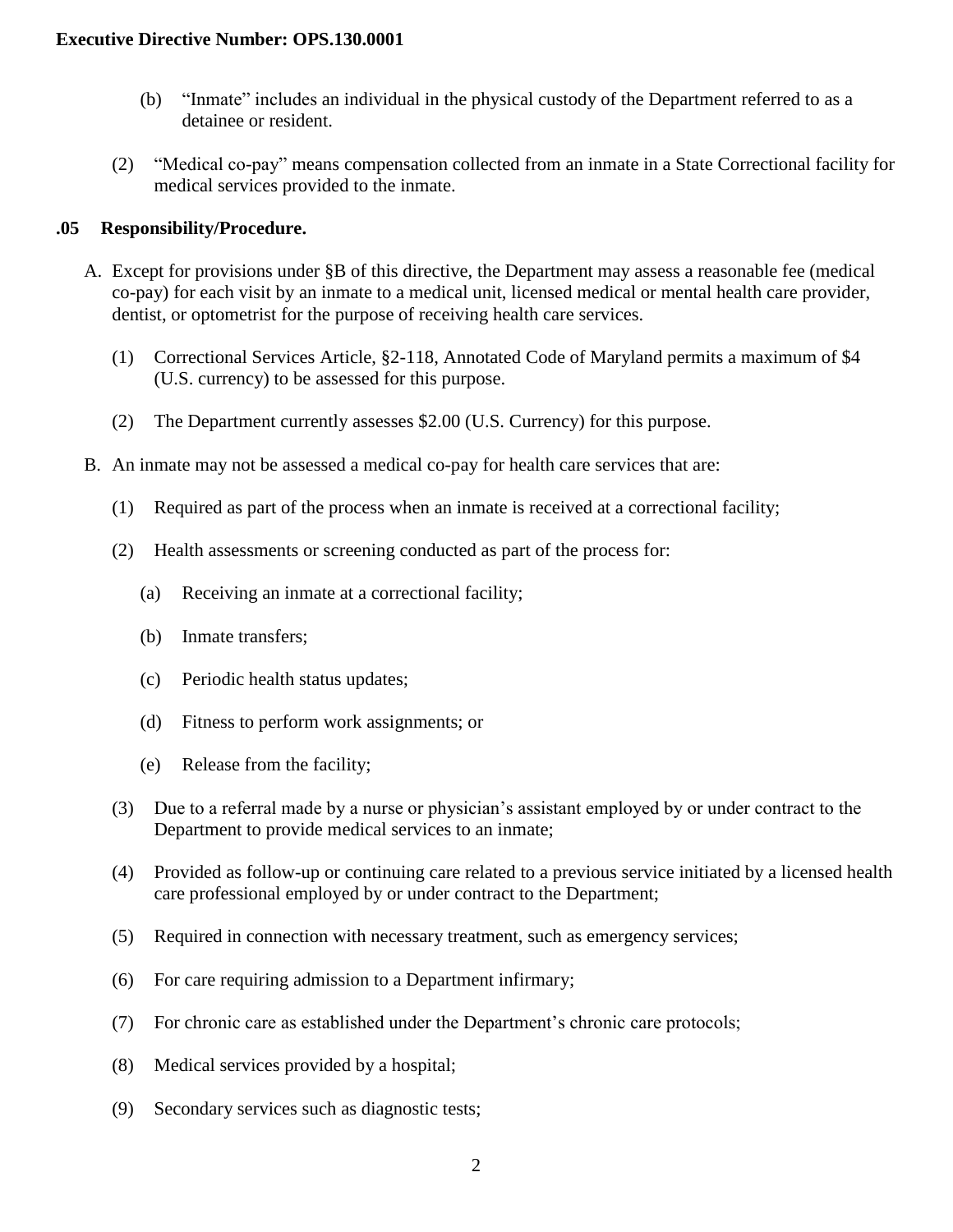- (b) "Inmate" includes an individual in the physical custody of the Department referred to as a detainee or resident.
- (2) "Medical co-pay" means compensation collected from an inmate in a State Correctional facility for medical services provided to the inmate.

# **.05 Responsibility/Procedure.**

- A. Except for provisions under §B of this directive, the Department may assess a reasonable fee (medical co-pay) for each visit by an inmate to a medical unit, licensed medical or mental health care provider, dentist, or optometrist for the purpose of receiving health care services.
	- (1) Correctional Services Article, §2-118, Annotated Code of Maryland permits a maximum of \$4 (U.S. currency) to be assessed for this purpose.
	- (2) The Department currently assesses \$2.00 (U.S. Currency) for this purpose.
- B. An inmate may not be assessed a medical co-pay for health care services that are:
	- (1) Required as part of the process when an inmate is received at a correctional facility;
	- (2) Health assessments or screening conducted as part of the process for:
		- (a) Receiving an inmate at a correctional facility;
		- (b) Inmate transfers;
		- (c) Periodic health status updates;
		- (d) Fitness to perform work assignments; or
		- (e) Release from the facility;
	- (3) Due to a referral made by a nurse or physician's assistant employed by or under contract to the Department to provide medical services to an inmate;
	- (4) Provided as follow-up or continuing care related to a previous service initiated by a licensed health care professional employed by or under contract to the Department;
	- (5) Required in connection with necessary treatment, such as emergency services;
	- (6) For care requiring admission to a Department infirmary;
	- (7) For chronic care as established under the Department's chronic care protocols;
	- (8) Medical services provided by a hospital;
	- (9) Secondary services such as diagnostic tests;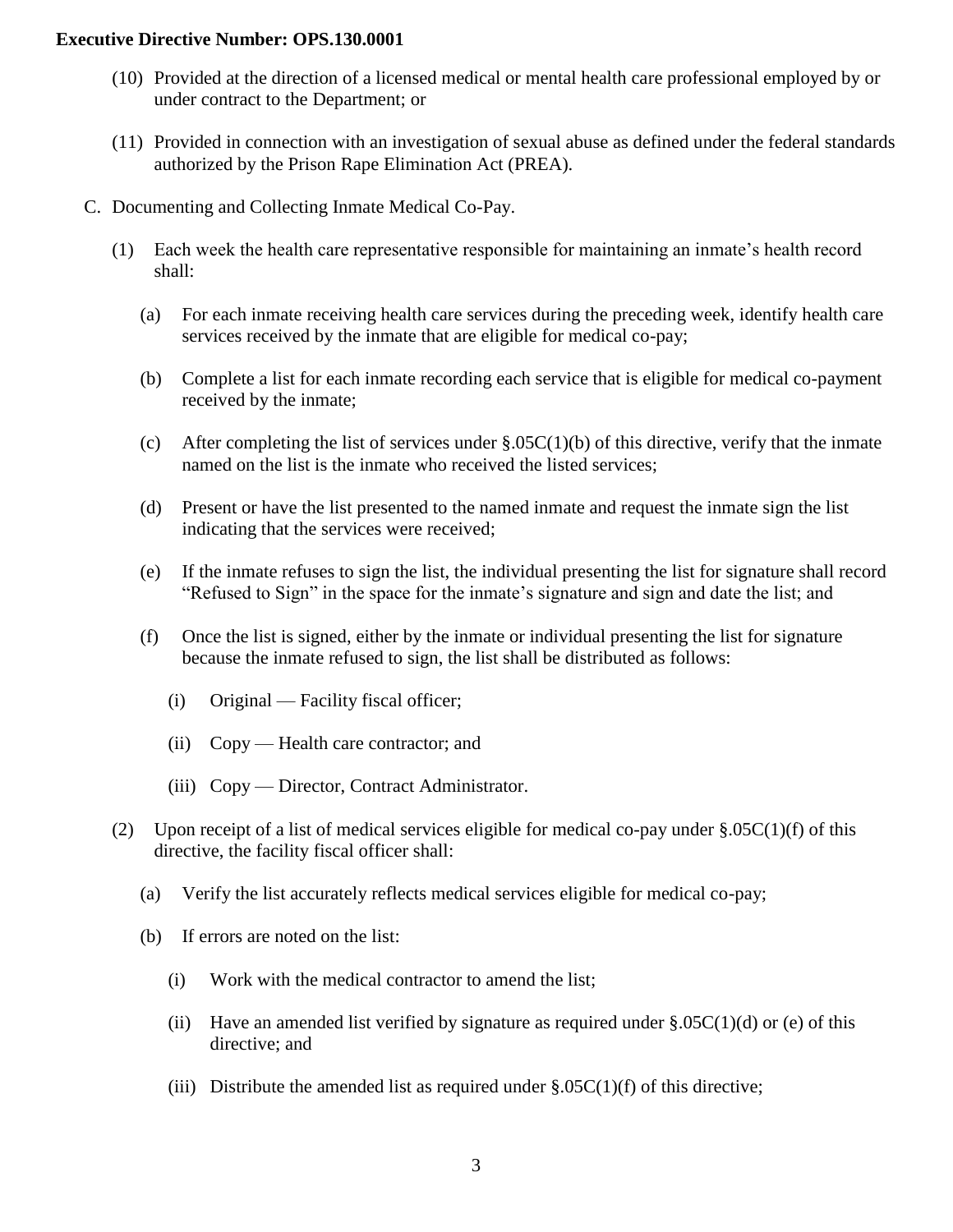#### **Executive Directive Number: OPS.130.0001**

- (10) Provided at the direction of a licensed medical or mental health care professional employed by or under contract to the Department; or
- (11) Provided in connection with an investigation of sexual abuse as defined under the federal standards authorized by the Prison Rape Elimination Act (PREA).
- C. Documenting and Collecting Inmate Medical Co-Pay.
	- (1) Each week the health care representative responsible for maintaining an inmate's health record shall:
		- (a) For each inmate receiving health care services during the preceding week, identify health care services received by the inmate that are eligible for medical co-pay;
		- (b) Complete a list for each inmate recording each service that is eligible for medical co-payment received by the inmate;
		- (c) After completing the list of services under  $\S.05C(1)(b)$  of this directive, verify that the inmate named on the list is the inmate who received the listed services;
		- (d) Present or have the list presented to the named inmate and request the inmate sign the list indicating that the services were received;
		- (e) If the inmate refuses to sign the list, the individual presenting the list for signature shall record "Refused to Sign" in the space for the inmate's signature and sign and date the list; and
		- (f) Once the list is signed, either by the inmate or individual presenting the list for signature because the inmate refused to sign, the list shall be distributed as follows:
			- (i) Original Facility fiscal officer;
			- (ii) Copy Health care contractor; and
			- (iii) Copy Director, Contract Administrator.
	- (2) Upon receipt of a list of medical services eligible for medical co-pay under  $\S.05C(1)(f)$  of this directive, the facility fiscal officer shall:
		- (a) Verify the list accurately reflects medical services eligible for medical co-pay;
		- (b) If errors are noted on the list:
			- (i) Work with the medical contractor to amend the list;
			- (ii) Have an amended list verified by signature as required under  $\S.05C(1)(d)$  or (e) of this directive; and
			- (iii) Distribute the amended list as required under  $\S.05C(1)(f)$  of this directive;